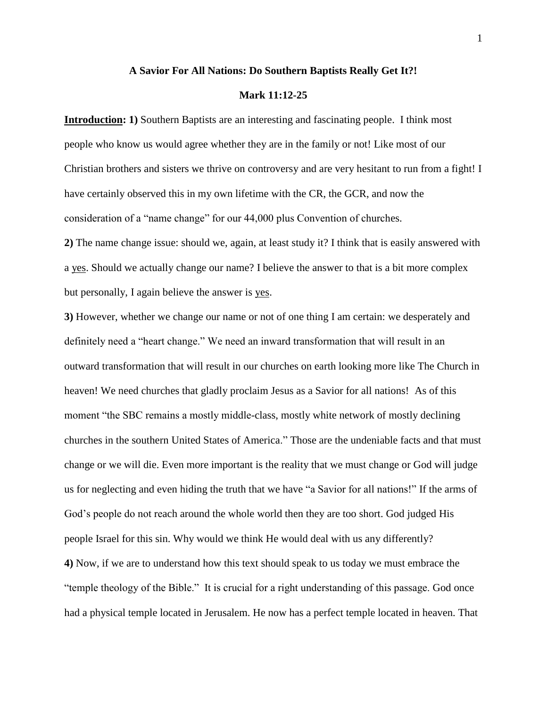#### **A Savior For All Nations: Do Southern Baptists Really Get It?!**

#### **Mark 11:12-25**

**Introduction: 1)** Southern Baptists are an interesting and fascinating people. I think most people who know us would agree whether they are in the family or not! Like most of our Christian brothers and sisters we thrive on controversy and are very hesitant to run from a fight! I have certainly observed this in my own lifetime with the CR, the GCR, and now the consideration of a "name change" for our 44,000 plus Convention of churches.

**2)** The name change issue: should we, again, at least study it? I think that is easily answered with a yes. Should we actually change our name? I believe the answer to that is a bit more complex but personally, I again believe the answer is yes.

**3)** However, whether we change our name or not of one thing I am certain: we desperately and definitely need a "heart change." We need an inward transformation that will result in an outward transformation that will result in our churches on earth looking more like The Church in heaven! We need churches that gladly proclaim Jesus as a Savior for all nations! As of this moment "the SBC remains a mostly middle-class, mostly white network of mostly declining churches in the southern United States of America." Those are the undeniable facts and that must change or we will die. Even more important is the reality that we must change or God will judge us for neglecting and even hiding the truth that we have "a Savior for all nations!" If the arms of God's people do not reach around the whole world then they are too short. God judged His people Israel for this sin. Why would we think He would deal with us any differently? **4)** Now, if we are to understand how this text should speak to us today we must embrace the ―temple theology of the Bible.‖ It is crucial for a right understanding of this passage. God once had a physical temple located in Jerusalem. He now has a perfect temple located in heaven. That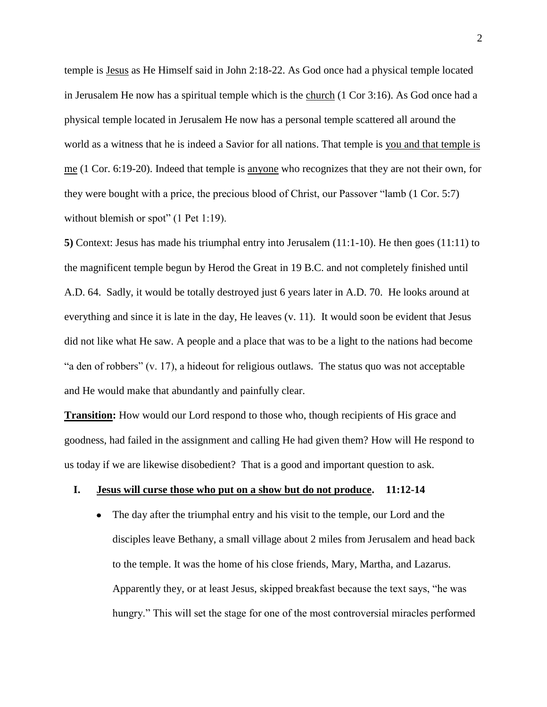temple is Jesus as He Himself said in John 2:18-22. As God once had a physical temple located in Jerusalem He now has a spiritual temple which is the church (1 Cor 3:16). As God once had a physical temple located in Jerusalem He now has a personal temple scattered all around the world as a witness that he is indeed a Savior for all nations. That temple is you and that temple is me (1 Cor. 6:19-20). Indeed that temple is anyone who recognizes that they are not their own, for they were bought with a price, the precious blood of Christ, our Passover  $\lq$  amb (1 Cor. 5:7) without blemish or spot"  $(1$  Pet 1:19).

**5)** Context: Jesus has made his triumphal entry into Jerusalem (11:1-10). He then goes (11:11) to the magnificent temple begun by Herod the Great in 19 B.C. and not completely finished until A.D. 64. Sadly, it would be totally destroyed just 6 years later in A.D. 70. He looks around at everything and since it is late in the day, He leaves (v. 11). It would soon be evident that Jesus did not like what He saw. A people and a place that was to be a light to the nations had become "a den of robbers" (v. 17), a hideout for religious outlaws. The status quo was not acceptable and He would make that abundantly and painfully clear.

**Transition:** How would our Lord respond to those who, though recipients of His grace and goodness, had failed in the assignment and calling He had given them? How will He respond to us today if we are likewise disobedient? That is a good and important question to ask.

#### **I. Jesus will curse those who put on a show but do not produce. 11:12-14**

• The day after the triumphal entry and his visit to the temple, our Lord and the disciples leave Bethany, a small village about 2 miles from Jerusalem and head back to the temple. It was the home of his close friends, Mary, Martha, and Lazarus. Apparently they, or at least Jesus, skipped breakfast because the text says, "he was hungry." This will set the stage for one of the most controversial miracles performed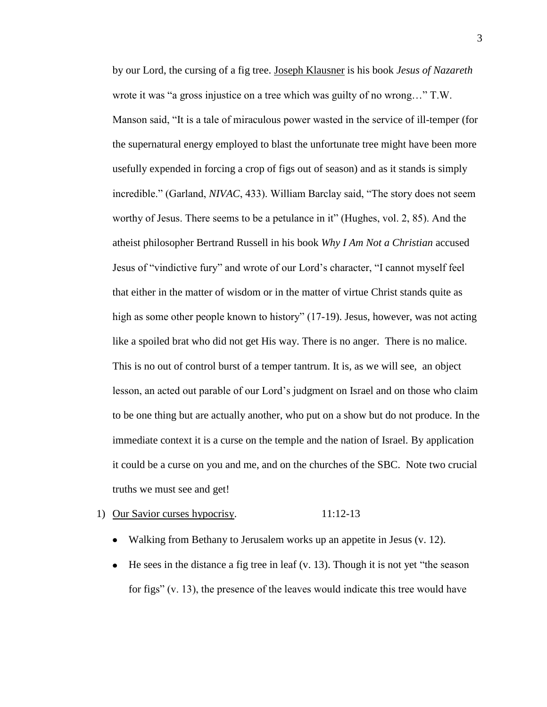by our Lord, the cursing of a fig tree. Joseph Klausner is his book *Jesus of Nazareth* wrote it was "a gross injustice on a tree which was guilty of no wrong..."  $T.W.$ Manson said, "It is a tale of miraculous power wasted in the service of ill-temper (for the supernatural energy employed to blast the unfortunate tree might have been more usefully expended in forcing a crop of figs out of season) and as it stands is simply incredible." (Garland, *NIVAC*, 433). William Barclay said, "The story does not seem worthy of Jesus. There seems to be a petulance in it" (Hughes, vol. 2, 85). And the atheist philosopher Bertrand Russell in his book *Why I Am Not a Christian* accused Jesus of "vindictive fury" and wrote of our Lord's character, "I cannot myself feel that either in the matter of wisdom or in the matter of virtue Christ stands quite as high as some other people known to history" (17-19). Jesus, however, was not acting like a spoiled brat who did not get His way. There is no anger. There is no malice. This is no out of control burst of a temper tantrum. It is, as we will see, an object lesson, an acted out parable of our Lord's judgment on Israel and on those who claim to be one thing but are actually another, who put on a show but do not produce. In the immediate context it is a curse on the temple and the nation of Israel. By application it could be a curse on you and me, and on the churches of the SBC. Note two crucial truths we must see and get!

#### 1) Our Savior curses hypocrisy. 11:12-13

- Walking from Bethany to Jerusalem works up an appetite in Jesus (v. 12).
- $\bullet$  He sees in the distance a fig tree in leaf (v. 13). Though it is not yet "the season for figs"  $(v, 13)$ , the presence of the leaves would indicate this tree would have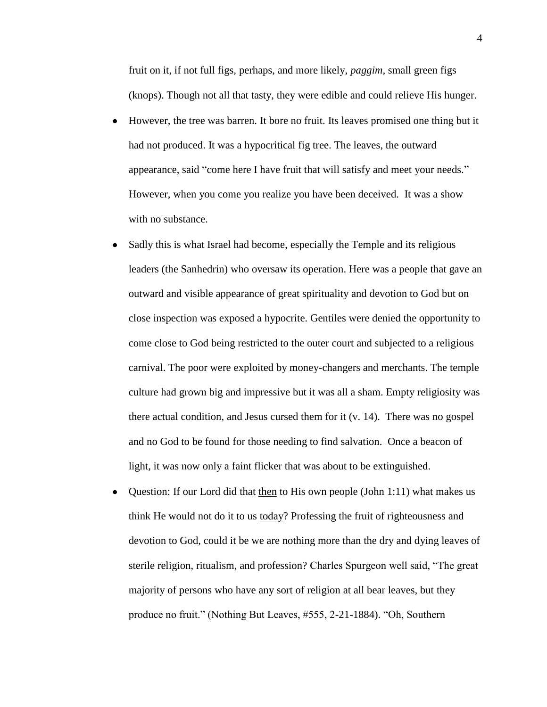fruit on it, if not full figs, perhaps, and more likely, *paggim*, small green figs (knops). Though not all that tasty, they were edible and could relieve His hunger.

- However, the tree was barren. It bore no fruit. Its leaves promised one thing but it had not produced. It was a hypocritical fig tree. The leaves, the outward appearance, said "come here I have fruit that will satisfy and meet your needs." However, when you come you realize you have been deceived. It was a show with no substance.
- Sadly this is what Israel had become, especially the Temple and its religious leaders (the Sanhedrin) who oversaw its operation. Here was a people that gave an outward and visible appearance of great spirituality and devotion to God but on close inspection was exposed a hypocrite. Gentiles were denied the opportunity to come close to God being restricted to the outer court and subjected to a religious carnival. The poor were exploited by money-changers and merchants. The temple culture had grown big and impressive but it was all a sham. Empty religiosity was there actual condition, and Jesus cursed them for it (v. 14). There was no gospel and no God to be found for those needing to find salvation. Once a beacon of light, it was now only a faint flicker that was about to be extinguished.
- Question: If our Lord did that then to His own people (John 1:11) what makes us  $\bullet$ think He would not do it to us today? Professing the fruit of righteousness and devotion to God, could it be we are nothing more than the dry and dying leaves of sterile religion, ritualism, and profession? Charles Spurgeon well said, "The great majority of persons who have any sort of religion at all bear leaves, but they produce no fruit." (Nothing But Leaves, #555, 2-21-1884). "Oh, Southern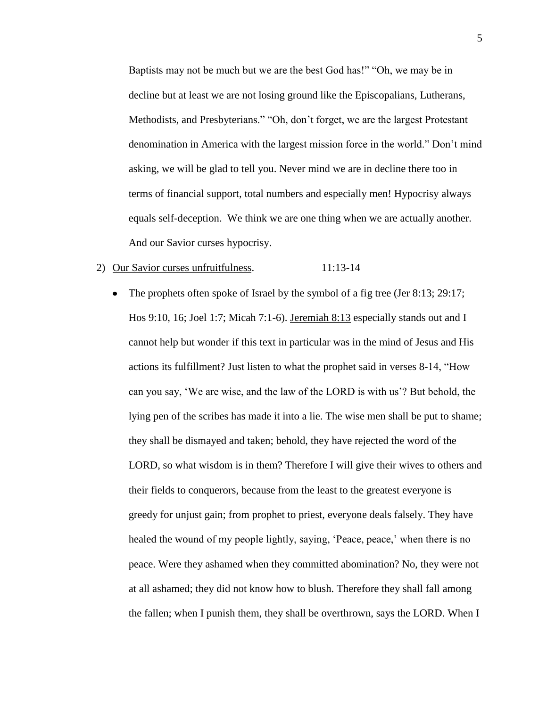Baptists may not be much but we are the best God has!" "Oh, we may be in decline but at least we are not losing ground like the Episcopalians, Lutherans, Methodists, and Presbyterians." "Oh, don't forget, we are the largest Protestant denomination in America with the largest mission force in the world." Don't mind asking, we will be glad to tell you. Never mind we are in decline there too in terms of financial support, total numbers and especially men! Hypocrisy always equals self-deception. We think we are one thing when we are actually another. And our Savior curses hypocrisy.

### 2) Our Savior curses unfruitfulness. 11:13-14

The prophets often spoke of Israel by the symbol of a fig tree (Jer 8:13; 29:17;  $\bullet$ Hos 9:10, 16; Joel 1:7; Micah 7:1-6). Jeremiah 8:13 especially stands out and I cannot help but wonder if this text in particular was in the mind of Jesus and His actions its fulfillment? Just listen to what the prophet said in verses 8-14, "How can you say, ‗We are wise, and the law of the LORD is with us'? But behold, the lying pen of the scribes has made it into a lie. The wise men shall be put to shame; they shall be dismayed and taken; behold, they have rejected the word of the LORD, so what wisdom is in them? Therefore I will give their wives to others and their fields to conquerors, because from the least to the greatest everyone is greedy for unjust gain; from prophet to priest, everyone deals falsely. They have healed the wound of my people lightly, saying, 'Peace, peace,' when there is no peace. Were they ashamed when they committed abomination? No, they were not at all ashamed; they did not know how to blush. Therefore they shall fall among the fallen; when I punish them, they shall be overthrown, says the LORD. When I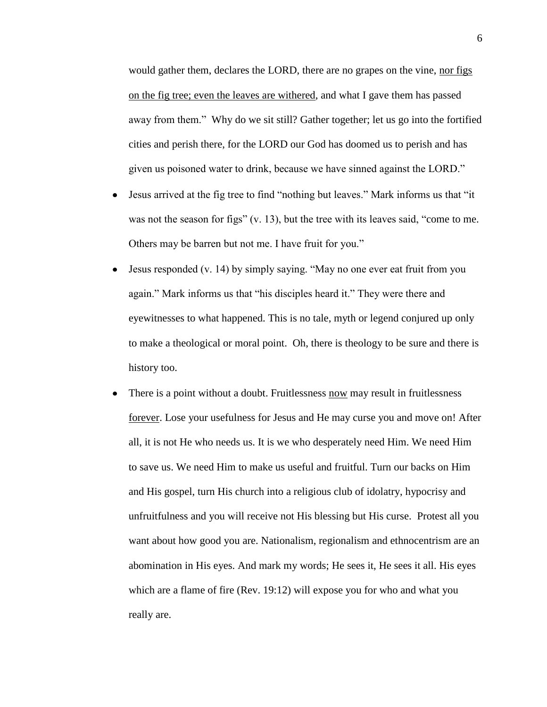would gather them, declares the LORD, there are no grapes on the vine, nor figs on the fig tree; even the leaves are withered, and what I gave them has passed away from them." Why do we sit still? Gather together; let us go into the fortified cities and perish there, for the LORD our God has doomed us to perish and has given us poisoned water to drink, because we have sinned against the LORD."

- Jesus arrived at the fig tree to find "nothing but leaves." Mark informs us that "it  $\bullet$ was not the season for figs"  $(v, 13)$ , but the tree with its leaves said, "come to me. Others may be barren but not me. I have fruit for you."
- Jesus responded  $(v. 14)$  by simply saying. "May no one ever eat fruit from you  $\bullet$ again." Mark informs us that "his disciples heard it." They were there and eyewitnesses to what happened. This is no tale, myth or legend conjured up only to make a theological or moral point. Oh, there is theology to be sure and there is history too.
- There is a point without a doubt. Fruitlessness now may result in fruitlessness forever. Lose your usefulness for Jesus and He may curse you and move on! After all, it is not He who needs us. It is we who desperately need Him. We need Him to save us. We need Him to make us useful and fruitful. Turn our backs on Him and His gospel, turn His church into a religious club of idolatry, hypocrisy and unfruitfulness and you will receive not His blessing but His curse. Protest all you want about how good you are. Nationalism, regionalism and ethnocentrism are an abomination in His eyes. And mark my words; He sees it, He sees it all. His eyes which are a flame of fire (Rev. 19:12) will expose you for who and what you really are.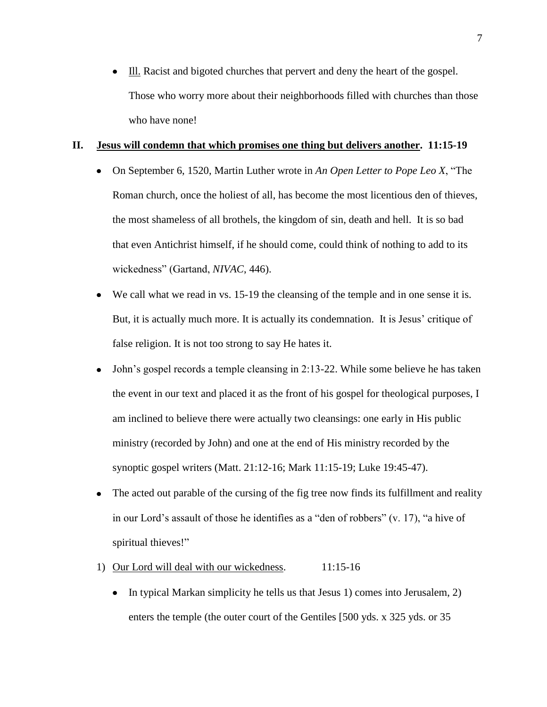Ill. Racist and bigoted churches that pervert and deny the heart of the gospel. Those who worry more about their neighborhoods filled with churches than those who have none!

#### **II. Jesus will condemn that which promises one thing but delivers another. 11:15-19**

- On September 6, 1520, Martin Luther wrote in *An Open Letter to Pope Leo X*, "The Roman church, once the holiest of all, has become the most licentious den of thieves, the most shameless of all brothels, the kingdom of sin, death and hell. It is so bad that even Antichrist himself, if he should come, could think of nothing to add to its wickedness" (Gartand, *NIVAC*, 446).
- We call what we read in vs. 15-19 the cleansing of the temple and in one sense it is.  $\bullet$ But, it is actually much more. It is actually its condemnation. It is Jesus' critique of false religion. It is not too strong to say He hates it.
- John's gospel records a temple cleansing in 2:13-22. While some believe he has taken the event in our text and placed it as the front of his gospel for theological purposes, I am inclined to believe there were actually two cleansings: one early in His public ministry (recorded by John) and one at the end of His ministry recorded by the synoptic gospel writers (Matt. 21:12-16; Mark 11:15-19; Luke 19:45-47).
- The acted out parable of the cursing of the fig tree now finds its fulfillment and reality  $\bullet$ in our Lord's assault of those he identifies as a "den of robbers"  $(v. 17)$ , "a hive of spiritual thieves!"
- 1) Our Lord will deal with our wickedness. 11:15-16
	- $\bullet$  In typical Markan simplicity he tells us that Jesus 1) comes into Jerusalem, 2) enters the temple (the outer court of the Gentiles [500 yds. x 325 yds. or 35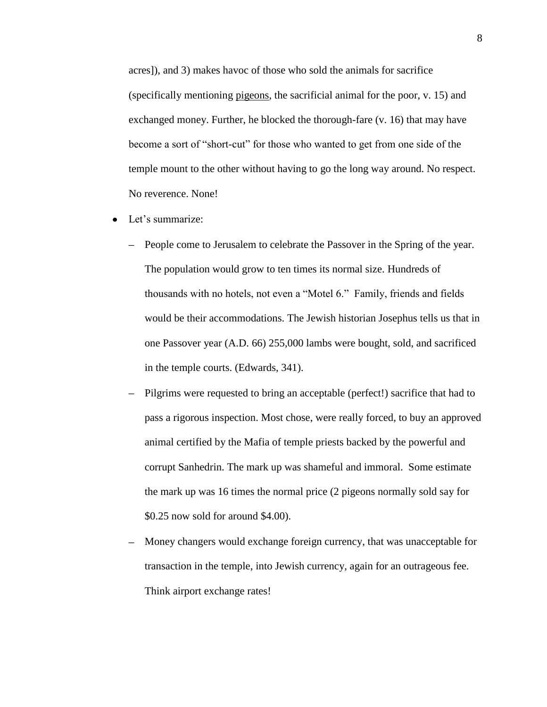acres]), and 3) makes havoc of those who sold the animals for sacrifice (specifically mentioning pigeons, the sacrificial animal for the poor, v. 15) and exchanged money. Further, he blocked the thorough-fare (v. 16) that may have become a sort of "short-cut" for those who wanted to get from one side of the temple mount to the other without having to go the long way around. No respect. No reverence. None!

- $\bullet$ Let's summarize:
	- People come to Jerusalem to celebrate the Passover in the Spring of the year. The population would grow to ten times its normal size. Hundreds of thousands with no hotels, not even a "Motel 6." Family, friends and fields would be their accommodations. The Jewish historian Josephus tells us that in one Passover year (A.D. 66) 255,000 lambs were bought, sold, and sacrificed in the temple courts. (Edwards, 341).
	- Pilgrims were requested to bring an acceptable (perfect!) sacrifice that had to pass a rigorous inspection. Most chose, were really forced, to buy an approved animal certified by the Mafia of temple priests backed by the powerful and corrupt Sanhedrin. The mark up was shameful and immoral. Some estimate the mark up was 16 times the normal price (2 pigeons normally sold say for \$0.25 now sold for around \$4.00).
	- Money changers would exchange foreign currency, that was unacceptable for  $\equiv$ transaction in the temple, into Jewish currency, again for an outrageous fee. Think airport exchange rates!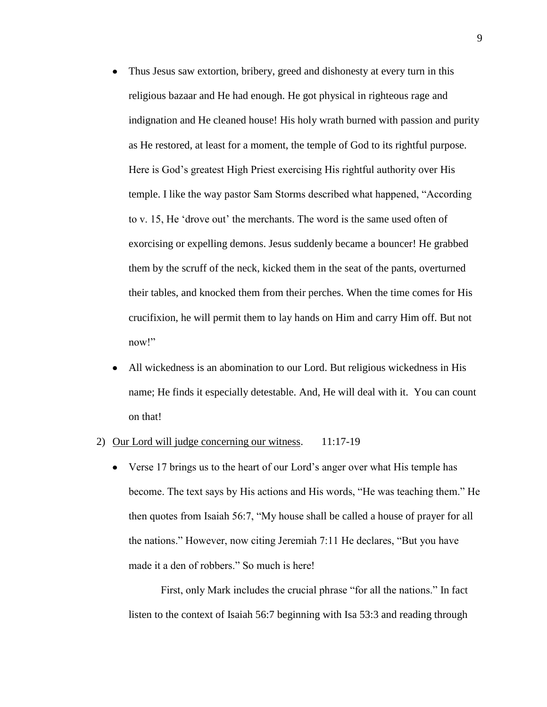- Thus Jesus saw extortion, bribery, greed and dishonesty at every turn in this  $\bullet$ religious bazaar and He had enough. He got physical in righteous rage and indignation and He cleaned house! His holy wrath burned with passion and purity as He restored, at least for a moment, the temple of God to its rightful purpose. Here is God's greatest High Priest exercising His rightful authority over His temple. I like the way pastor Sam Storms described what happened, "According" to v. 15, He ‗drove out' the merchants. The word is the same used often of exorcising or expelling demons. Jesus suddenly became a bouncer! He grabbed them by the scruff of the neck, kicked them in the seat of the pants, overturned their tables, and knocked them from their perches. When the time comes for His crucifixion, he will permit them to lay hands on Him and carry Him off. But not now!"
- All wickedness is an abomination to our Lord. But religious wickedness in His  $\bullet$ name; He finds it especially detestable. And, He will deal with it. You can count on that!
- 2) Our Lord will judge concerning our witness. 11:17-19
	- Verse 17 brings us to the heart of our Lord's anger over what His temple has become. The text says by His actions and His words, "He was teaching them." He then quotes from Isaiah 56:7, "My house shall be called a house of prayer for all the nations." However, now citing Jeremiah 7:11 He declares, "But you have made it a den of robbers." So much is here!

First, only Mark includes the crucial phrase "for all the nations." In fact listen to the context of Isaiah 56:7 beginning with Isa 53:3 and reading through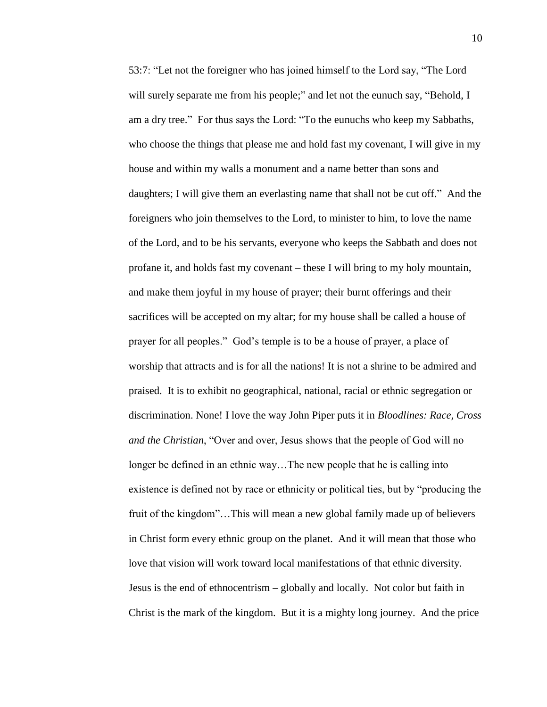53:7: "Let not the foreigner who has joined himself to the Lord say, "The Lord" will surely separate me from his people;" and let not the eunuch say, "Behold, I am a dry tree." For thus says the Lord: "To the eunuchs who keep my Sabbaths, who choose the things that please me and hold fast my covenant, I will give in my house and within my walls a monument and a name better than sons and daughters; I will give them an everlasting name that shall not be cut off." And the foreigners who join themselves to the Lord, to minister to him, to love the name of the Lord, and to be his servants, everyone who keeps the Sabbath and does not profane it, and holds fast my covenant – these I will bring to my holy mountain, and make them joyful in my house of prayer; their burnt offerings and their sacrifices will be accepted on my altar; for my house shall be called a house of prayer for all peoples.‖ God's temple is to be a house of prayer, a place of worship that attracts and is for all the nations! It is not a shrine to be admired and praised. It is to exhibit no geographical, national, racial or ethnic segregation or discrimination. None! I love the way John Piper puts it in *Bloodlines: Race, Cross and the Christian*, "Over and over, Jesus shows that the people of God will no longer be defined in an ethnic way…The new people that he is calling into existence is defined not by race or ethnicity or political ties, but by "producing the fruit of the kingdom"…This will mean a new global family made up of believers in Christ form every ethnic group on the planet. And it will mean that those who love that vision will work toward local manifestations of that ethnic diversity. Jesus is the end of ethnocentrism – globally and locally. Not color but faith in Christ is the mark of the kingdom. But it is a mighty long journey. And the price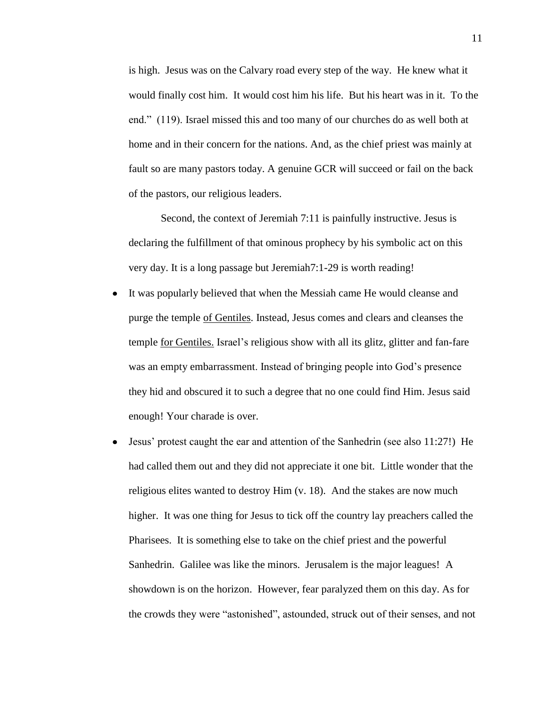is high. Jesus was on the Calvary road every step of the way. He knew what it would finally cost him. It would cost him his life. But his heart was in it. To the end." (119). Israel missed this and too many of our churches do as well both at home and in their concern for the nations. And, as the chief priest was mainly at fault so are many pastors today. A genuine GCR will succeed or fail on the back of the pastors, our religious leaders.

Second, the context of Jeremiah 7:11 is painfully instructive. Jesus is declaring the fulfillment of that ominous prophecy by his symbolic act on this very day. It is a long passage but Jeremiah7:1-29 is worth reading!

- It was popularly believed that when the Messiah came He would cleanse and  $\bullet$ purge the temple of Gentiles. Instead, Jesus comes and clears and cleanses the temple for Gentiles. Israel's religious show with all its glitz, glitter and fan-fare was an empty embarrassment. Instead of bringing people into God's presence they hid and obscured it to such a degree that no one could find Him. Jesus said enough! Your charade is over.
- Jesus' protest caught the ear and attention of the Sanhedrin (see also 11:27!) He had called them out and they did not appreciate it one bit. Little wonder that the religious elites wanted to destroy Him (v. 18). And the stakes are now much higher. It was one thing for Jesus to tick off the country lay preachers called the Pharisees. It is something else to take on the chief priest and the powerful Sanhedrin. Galilee was like the minors. Jerusalem is the major leagues! A showdown is on the horizon. However, fear paralyzed them on this day. As for the crowds they were "astonished", astounded, struck out of their senses, and not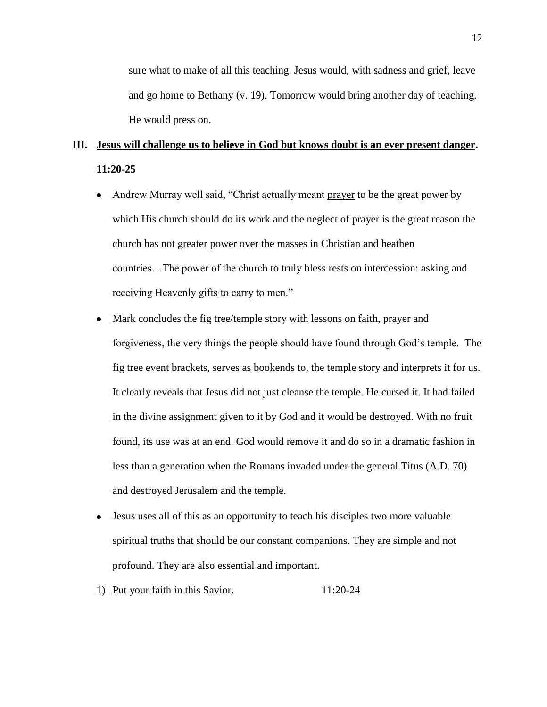sure what to make of all this teaching. Jesus would, with sadness and grief, leave and go home to Bethany (v. 19). Tomorrow would bring another day of teaching. He would press on.

# **III. Jesus will challenge us to believe in God but knows doubt is an ever present danger. 11:20-25**

- Andrew Murray well said, "Christ actually meant prayer to be the great power by  $\bullet$ which His church should do its work and the neglect of prayer is the great reason the church has not greater power over the masses in Christian and heathen countries…The power of the church to truly bless rests on intercession: asking and receiving Heavenly gifts to carry to men."
- $\bullet$ Mark concludes the fig tree/temple story with lessons on faith, prayer and forgiveness, the very things the people should have found through God's temple. The fig tree event brackets, serves as bookends to, the temple story and interprets it for us. It clearly reveals that Jesus did not just cleanse the temple. He cursed it. It had failed in the divine assignment given to it by God and it would be destroyed. With no fruit found, its use was at an end. God would remove it and do so in a dramatic fashion in less than a generation when the Romans invaded under the general Titus (A.D. 70) and destroyed Jerusalem and the temple.
- Jesus uses all of this as an opportunity to teach his disciples two more valuable  $\bullet$ spiritual truths that should be our constant companions. They are simple and not profound. They are also essential and important.
- 1) Put your faith in this Savior. 11:20-24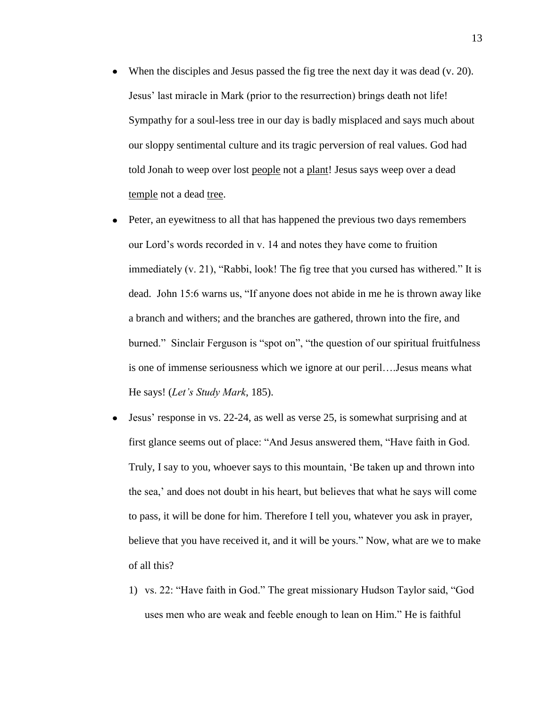- When the disciples and Jesus passed the fig tree the next day it was dead  $(v. 20)$ . Jesus' last miracle in Mark (prior to the resurrection) brings death not life! Sympathy for a soul-less tree in our day is badly misplaced and says much about our sloppy sentimental culture and its tragic perversion of real values. God had told Jonah to weep over lost people not a plant! Jesus says weep over a dead temple not a dead tree.
- $\bullet$ Peter, an eyewitness to all that has happened the previous two days remembers our Lord's words recorded in v. 14 and notes they have come to fruition immediately (v. 21), "Rabbi, look! The fig tree that you cursed has withered." It is dead. John 15:6 warns us, "If anyone does not abide in me he is thrown away like a branch and withers; and the branches are gathered, thrown into the fire, and burned." Sinclair Ferguson is "spot on", "the question of our spiritual fruitfulness is one of immense seriousness which we ignore at our peril….Jesus means what He says! (*Let's Study Mark*, 185).
- Jesus' response in vs. 22-24, as well as verse 25, is somewhat surprising and at first glance seems out of place: "And Jesus answered them, "Have faith in God. Truly, I say to you, whoever says to this mountain, ‗Be taken up and thrown into the sea,' and does not doubt in his heart, but believes that what he says will come to pass, it will be done for him. Therefore I tell you, whatever you ask in prayer, believe that you have received it, and it will be yours." Now, what are we to make of all this?
	- 1) vs. 22: "Have faith in God." The great missionary Hudson Taylor said, "God uses men who are weak and feeble enough to lean on Him." He is faithful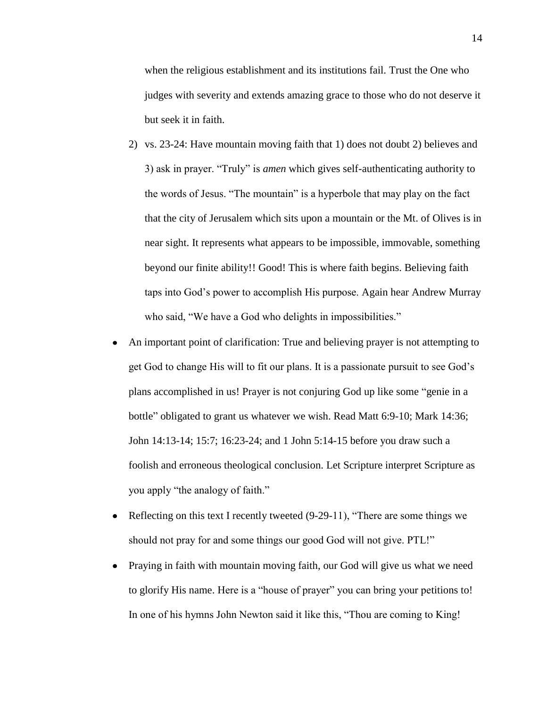when the religious establishment and its institutions fail. Trust the One who judges with severity and extends amazing grace to those who do not deserve it but seek it in faith.

- 2) vs. 23-24: Have mountain moving faith that 1) does not doubt 2) believes and 3) ask in prayer. "Truly" is *amen* which gives self-authenticating authority to the words of Jesus. "The mountain" is a hyperbole that may play on the fact that the city of Jerusalem which sits upon a mountain or the Mt. of Olives is in near sight. It represents what appears to be impossible, immovable, something beyond our finite ability!! Good! This is where faith begins. Believing faith taps into God's power to accomplish His purpose. Again hear Andrew Murray who said, "We have a God who delights in impossibilities."
- An important point of clarification: True and believing prayer is not attempting to get God to change His will to fit our plans. It is a passionate pursuit to see God's plans accomplished in us! Prayer is not conjuring God up like some "genie in a bottle" obligated to grant us whatever we wish. Read Matt 6:9-10; Mark 14:36; John 14:13-14; 15:7; 16:23-24; and 1 John 5:14-15 before you draw such a foolish and erroneous theological conclusion. Let Scripture interpret Scripture as you apply "the analogy of faith."
- Reflecting on this text I recently tweeted  $(9-29-11)$ , "There are some things we should not pray for and some things our good God will not give. PTL!"
- Praying in faith with mountain moving faith, our God will give us what we need to glorify His name. Here is a "house of prayer" you can bring your petitions to! In one of his hymns John Newton said it like this, "Thou are coming to King!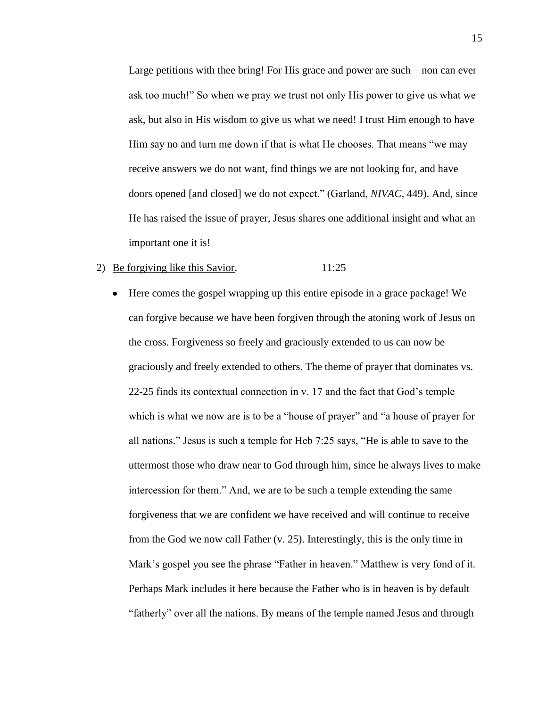Large petitions with thee bring! For His grace and power are such—non can ever ask too much!" So when we pray we trust not only His power to give us what we ask, but also in His wisdom to give us what we need! I trust Him enough to have Him say no and turn me down if that is what He chooses. That means "we may receive answers we do not want, find things we are not looking for, and have doors opened [and closed] we do not expect.‖ (Garland, *NIVAC*, 449). And, since He has raised the issue of prayer, Jesus shares one additional insight and what an important one it is!

# 2) <u>Be forgiving like this Savior</u>. 11:25

Here comes the gospel wrapping up this entire episode in a grace package! We can forgive because we have been forgiven through the atoning work of Jesus on the cross. Forgiveness so freely and graciously extended to us can now be graciously and freely extended to others. The theme of prayer that dominates vs. 22-25 finds its contextual connection in v. 17 and the fact that God's temple which is what we now are is to be a "house of prayer" and "a house of prayer for all nations." Jesus is such a temple for Heb 7:25 says, "He is able to save to the uttermost those who draw near to God through him, since he always lives to make intercession for them." And, we are to be such a temple extending the same forgiveness that we are confident we have received and will continue to receive from the God we now call Father (v. 25). Interestingly, this is the only time in Mark's gospel you see the phrase "Father in heaven." Matthew is very fond of it. Perhaps Mark includes it here because the Father who is in heaven is by default "fatherly" over all the nations. By means of the temple named Jesus and through